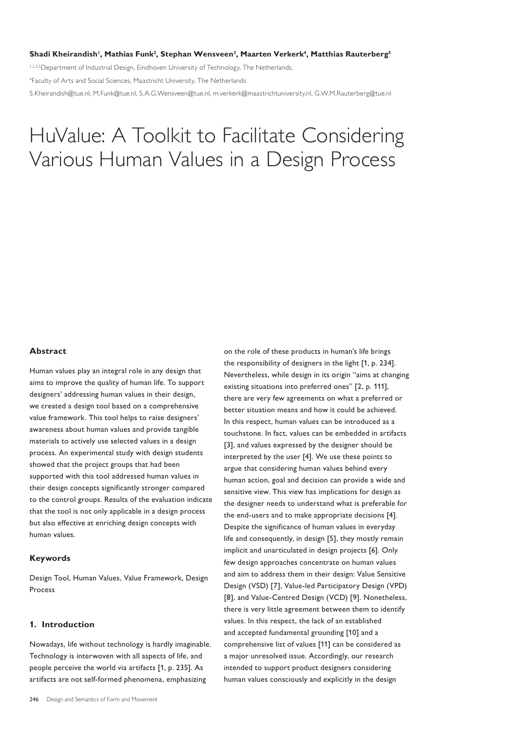#### **Shadi Kheirandish<sup>1</sup> , Mathias Funk<sup>2</sup> , Stephan Wensveen<sup>3</sup> , Maarten Verkerk<sup>4</sup> , Matthias Rauterberg<sup>5</sup>**

1,2,3,5 Department of Industrial Design, Eindhoven University of Technology, The Netherlands, 4 Faculty of Arts and Social Sciences, Maastricht University, The Netherlands S.Kheirandish@tue.nl, M.Funk@tue.nl, S.A.G.Wensveen@tue.nl, m.verkerk@maastrichtuniversity.nl, G.W.M.Rauterberg@tue.nl

# HuValue: A Toolkit to Facilitate Considering Various Human Values in a Design Process

#### **Abstract**

Human values play an integral role in any design that aims to improve the quality of human life. To support designers' addressing human values in their design, we created a design tool based on a comprehensive value framework. This tool helps to raise designers' awareness about human values and provide tangible materials to actively use selected values in a design process. An experimental study with design students showed that the project groups that had been supported with this tool addressed human values in their design concepts significantly stronger compared to the control groups. Results of the evaluation indicate that the tool is not only applicable in a design process but also effective at enriching design concepts with human values.

#### **Keywords**

Design Tool, Human Values, Value Framework, Design Process

### **1. Introduction**

Nowadays, life without technology is hardly imaginable. Technology is interwoven with all aspects of life, and people perceive the world via artifacts [1, p. 235]. As artifacts are not self-formed phenomena, emphasizing

on the role of these products in human's life brings the responsibility of designers in the light [1, p. 234]. Nevertheless, while design in its origin "aims at changing existing situations into preferred ones" [2, p. 111], there are very few agreements on what a preferred or better situation means and how it could be achieved. In this respect, human values can be introduced as a touchstone. In fact, values can be embedded in artifacts [3], and values expressed by the designer should be interpreted by the user [4]. We use these points to argue that considering human values behind every human action, goal and decision can provide a wide and sensitive view. This view has implications for design as the designer needs to understand what is preferable for the end-users and to make appropriate decisions [4]. Despite the significance of human values in everyday life and consequently, in design [5], they mostly remain implicit and unarticulated in design projects [6]. Only few design approaches concentrate on human values and aim to address them in their design: Value Sensitive Design (VSD) [7], Value-led Participatory Design (VPD) [8], and Value-Centred Design (VCD) [9]. Nonetheless, there is very little agreement between them to identify values. In this respect, the lack of an established and accepted fundamental grounding [10] and a comprehensive list of values [11] can be considered as a major unresolved issue. Accordingly, our research intended to support product designers considering human values consciously and explicitly in the design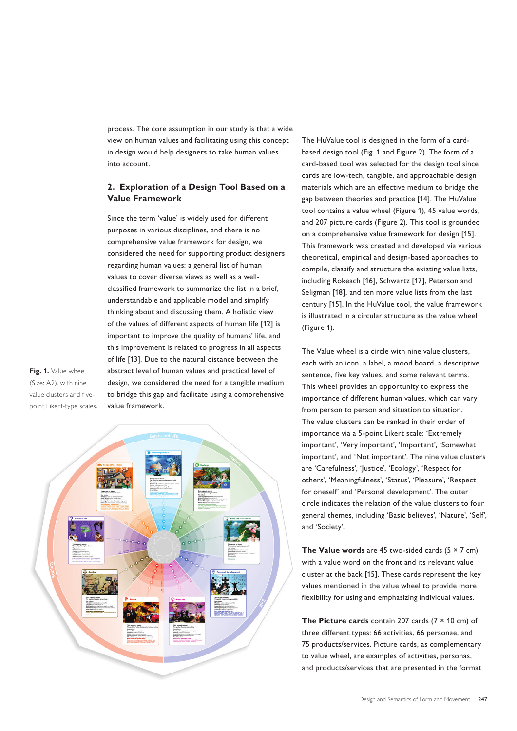process. The core assumption in our study is that a wide view on human values and facilitating using this concept in design would help designers to take human values into account.

## **2. Exploration of a Design Tool Based on a Value Framework**

Since the term 'value' is widely used for different purposes in various disciplines, and there is no comprehensive value framework for design, we considered the need for supporting product designers regarding human values: a general list of human values to cover diverse views as well as a wellclassified framework to summarize the list in a brief, understandable and applicable model and simplify thinking about and discussing them. A holistic view of the values of different aspects of human life [12] is important to improve the quality of humans' life, and this improvement is related to progress in all aspects of life [13]. Due to the natural distance between the abstract level of human values and practical level of design, we considered the need for a tangible medium to bridge this gap and facilitate using a comprehensive value framework.

**Fig. 1.** Value wheel (Size: A2), with nine value clusters and fivepoint Likert-type scales.



The HuValue tool is designed in the form of a cardbased design tool (Fig. 1 and Figure 2). The form of a card-based tool was selected for the design tool since cards are low-tech, tangible, and approachable design materials which are an effective medium to bridge the gap between theories and practice [14]. The HuValue tool contains a value wheel (Figure 1), 45 value words, and 207 picture cards (Figure 2). This tool is grounded on a comprehensive value framework for design [15]. This framework was created and developed via various theoretical, empirical and design-based approaches to compile, classify and structure the existing value lists, including Rokeach [16], Schwartz [17], Peterson and Seligman [18], and ten more value lists from the last century [15]. In the HuValue tool, the value framework is illustrated in a circular structure as the value wheel (Figure 1).

The Value wheel is a circle with nine value clusters, each with an icon, a label, a mood board, a descriptive sentence, five key values, and some relevant terms. This wheel provides an opportunity to express the importance of different human values, which can vary from person to person and situation to situation. The value clusters can be ranked in their order of importance via a 5-point Likert scale: 'Extremely important', 'Very important', 'Important', 'Somewhat important', and 'Not important'. The nine value clusters are 'Carefulness', 'Justice', 'Ecology', 'Respect for others', 'Meaningfulness', 'Status', 'Pleasure', 'Respect for oneself' and 'Personal development'. The outer circle indicates the relation of the value clusters to four general themes, including 'Basic believes', 'Nature', 'Self', and 'Society'.

**The Value words** are 45 two-sided cards (5  $\times$  7 cm) with a value word on the front and its relevant value cluster at the back [15]. These cards represent the key values mentioned in the value wheel to provide more flexibility for using and emphasizing individual values.

**The Picture cards** contain 207 cards (7 × 10 cm) of three different types: 66 activities, 66 personae, and 75 products/services. Picture cards, as complementary to value wheel, are examples of activities, personas, and products/services that are presented in the format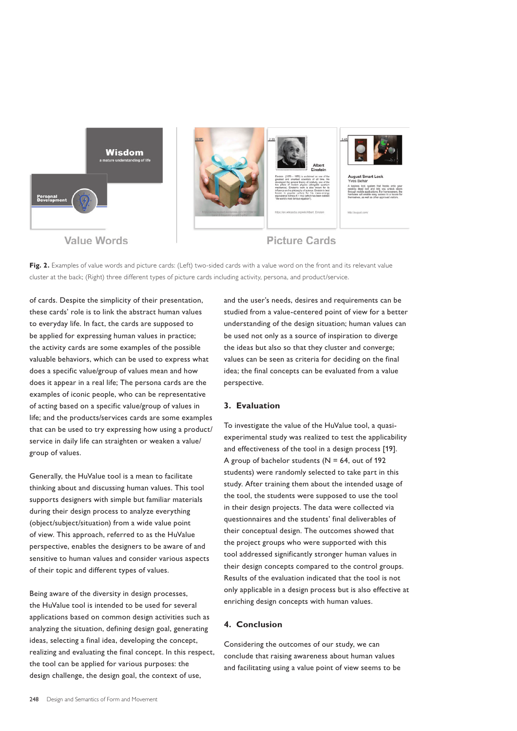

Fig. 2. Examples of value words and picture cards: (Left) two-sided cards with a value word on the front and its relevant value cluster at the back; (Right) three different types of picture cards including activity, persona, and product/service.

of cards. Despite the simplicity of their presentation, these cards' role is to link the abstract human values to everyday life. In fact, the cards are supposed to be applied for expressing human values in practice; the activity cards are some examples of the possible valuable behaviors, which can be used to express what does a specific value/group of values mean and how does it appear in a real life; The persona cards are the examples of iconic people, who can be representative of acting based on a specific value/group of values in life; and the products/services cards are some examples that can be used to try expressing how using a product/ service in daily life can straighten or weaken a value/ group of values.

Generally, the HuValue tool is a mean to facilitate thinking about and discussing human values. This tool supports designers with simple but familiar materials during their design process to analyze everything (object/subject/situation) from a wide value point of view. This approach, referred to as the HuValue perspective, enables the designers to be aware of and sensitive to human values and consider various aspects of their topic and different types of values.

Being aware of the diversity in design processes, the HuValue tool is intended to be used for several applications based on common design activities such as analyzing the situation, defining design goal, generating ideas, selecting a final idea, developing the concept, realizing and evaluating the final concept. In this respect, the tool can be applied for various purposes: the design challenge, the design goal, the context of use,

and the user's needs, desires and requirements can be studied from a value-centered point of view for a better understanding of the design situation; human values can be used not only as a source of inspiration to diverge the ideas but also so that they cluster and converge; values can be seen as criteria for deciding on the final idea; the final concepts can be evaluated from a value perspective.

#### **3. Evaluation**

To investigate the value of the HuValue tool, a quasiexperimental study was realized to test the applicability and effectiveness of the tool in a design process [19]. A group of bachelor students ( $N = 64$ , out of 192 students) were randomly selected to take part in this study. After training them about the intended usage of the tool, the students were supposed to use the tool in their design projects. The data were collected via questionnaires and the students' final deliverables of their conceptual design. The outcomes showed that the project groups who were supported with this tool addressed significantly stronger human values in their design concepts compared to the control groups. Results of the evaluation indicated that the tool is not only applicable in a design process but is also effective at enriching design concepts with human values.

## **4. Conclusion**

Considering the outcomes of our study, we can conclude that raising awareness about human values and facilitating using a value point of view seems to be